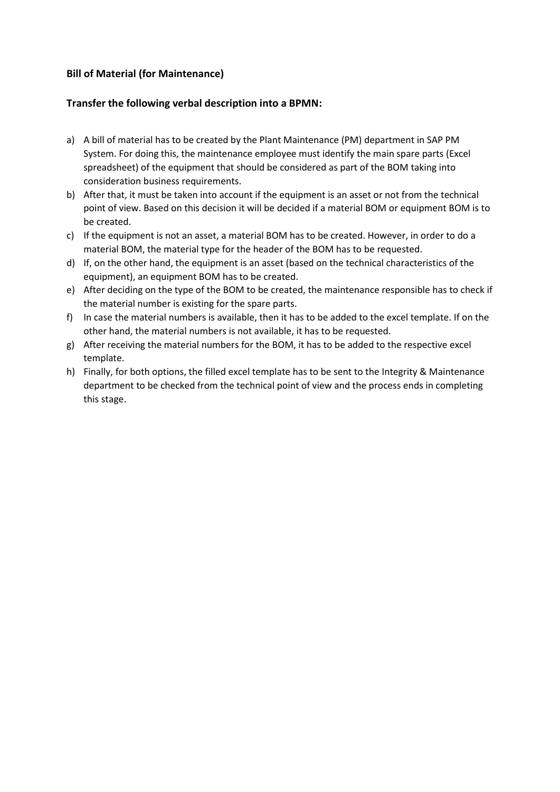## **Bill of Material (for Maintenance)**

## **Transfer the following verbal description into a BPMN:**

- a) A bill of material has to be created by the Plant Maintenance (PM) department in SAP PM System. For doing this, the maintenance employee must identify the main spare parts (Excel spreadsheet) of the equipment that should be considered as part of the BOM taking into consideration business requirements.
- b) After that, it must be taken into account if the equipment is an asset or not from the technical point of view. Based on this decision it will be decided if a material BOM or equipment BOM is to be created.
- c) If the equipment is not an asset, a material BOM has to be created. However, in order to do a material BOM, the material type for the header of the BOM has to be requested.
- d) If, on the other hand, the equipment is an asset (based on the technical characteristics of the equipment), an equipment BOM has to be created.
- e) After deciding on the type of the BOM to be created, the maintenance responsible has to check if the material number is existing for the spare parts.
- f) In case the material numbers is available, then it has to be added to the excel template. If on the other hand, the material numbers is not available, it has to be requested.
- g) After receiving the material numbers for the BOM, it has to be added to the respective excel template.
- h) Finally, for both options, the filled excel template has to be sent to the Integrity & Maintenance department to be checked from the technical point of view and the process ends in completing this stage.